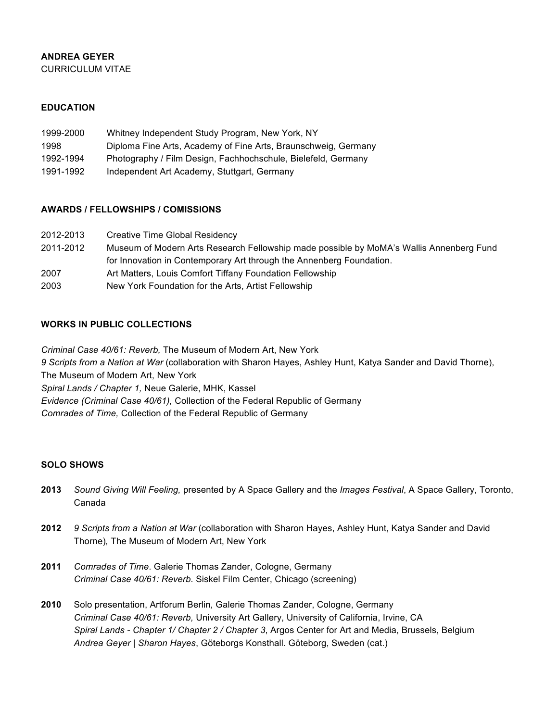# **ANDREA GEYER**

CURRICULUM VITAE

## **EDUCATION**

| 1999-2000 | Whitney Independent Study Program, New York, NY                |
|-----------|----------------------------------------------------------------|
| 1998      | Diploma Fine Arts, Academy of Fine Arts, Braunschweig, Germany |
| 1992-1994 | Photography / Film Design, Fachhochschule, Bielefeld, Germany  |
| 1991-1992 | Independent Art Academy, Stuttgart, Germany                    |

### **AWARDS / FELLOWSHIPS / COMISSIONS**

| 2012-2013 | Creative Time Global Residency                                                          |
|-----------|-----------------------------------------------------------------------------------------|
| 2011-2012 | Museum of Modern Arts Research Fellowship made possible by MoMA's Wallis Annenberg Fund |
|           | for Innovation in Contemporary Art through the Annenberg Foundation.                    |
| 2007      | Art Matters, Louis Comfort Tiffany Foundation Fellowship                                |
| 2003      | New York Foundation for the Arts, Artist Fellowship                                     |

## **WORKS IN PUBLIC COLLECTIONS**

*Criminal Case 40/61: Reverb,* The Museum of Modern Art, New York *9 Scripts from a Nation at War* (collaboration with Sharon Hayes, Ashley Hunt, Katya Sander and David Thorne), The Museum of Modern Art, New York *Spiral Lands / Chapter 1,* Neue Galerie, MHK, Kassel *Evidence (Criminal Case 40/61),* Collection of the Federal Republic of Germany *Comrades of Time,* Collection of the Federal Republic of Germany

### **SOLO SHOWS**

- **2013** *Sound Giving Will Feeling,* presented by A Space Gallery and the *Images Festival*, A Space Gallery, Toronto, Canada
- **2012** *9 Scripts from a Nation at War* (collaboration with Sharon Hayes, Ashley Hunt, Katya Sander and David Thorne)*,* The Museum of Modern Art, New York
- **2011** *Comrades of Time*. Galerie Thomas Zander, Cologne, Germany *Criminal Case 40/61: Reverb.* Siskel Film Center, Chicago (screening)
- **2010** Solo presentation, Artforum Berlin*,* Galerie Thomas Zander, Cologne, Germany *Criminal Case 40/61: Reverb,* University Art Gallery, University of California, Irvine, CA *Spiral Lands - Chapter 1/ Chapter 2 / Chapter 3*, Argos Center for Art and Media, Brussels, Belgium *Andrea Geyer | Sharon Hayes*, Göteborgs Konsthall. Göteborg, Sweden (cat.)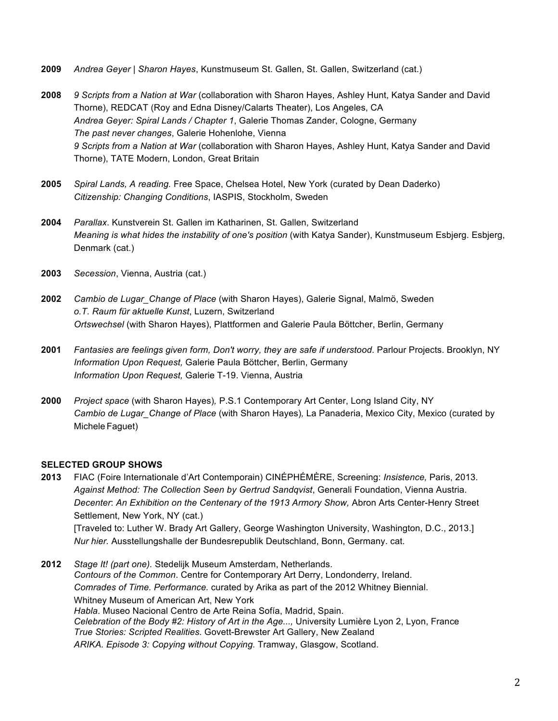- **2009** *Andrea Geyer | Sharon Hayes*, Kunstmuseum St. Gallen, St. Gallen, Switzerland (cat.)
- **2008** *9 Scripts from a Nation at War* (collaboration with Sharon Hayes, Ashley Hunt, Katya Sander and David Thorne), REDCAT (Roy and Edna Disney/Calarts Theater), Los Angeles, CA *Andrea Geyer: Spiral Lands / Chapter 1*, Galerie Thomas Zander, Cologne, Germany *The past never changes*, Galerie Hohenlohe, Vienna *9 Scripts from a Nation at War* (collaboration with Sharon Hayes, Ashley Hunt, Katya Sander and David Thorne), TATE Modern, London, Great Britain
- **2005** *Spiral Lands, A reading.* Free Space, Chelsea Hotel, New York (curated by Dean Daderko) *Citizenship: Changing Conditions*, IASPIS, Stockholm, Sweden
- **2004** *Parallax*. Kunstverein St. Gallen im Katharinen, St. Gallen, Switzerland *Meaning is what hides the instability of one's position* (with Katya Sander), Kunstmuseum Esbjerg. Esbjerg, Denmark (cat.)
- **2003** *Secession*, Vienna, Austria (cat.)
- **2002** *Cambio de Lugar\_Change of Place* (with Sharon Hayes), Galerie Signal, Malmö, Sweden *o.T. Raum für aktuelle Kunst*, Luzern, Switzerland *Ortswechsel* (with Sharon Hayes), Plattformen and Galerie Paula Böttcher, Berlin, Germany
- **2001** *Fantasies are feelings given form, Don't worry, they are safe if understood*. Parlour Projects. Brooklyn, NY *Information Upon Request,* Galerie Paula Böttcher, Berlin, Germany *Information Upon Request,* Galerie T-19. Vienna, Austria
- **2000** *Project space* (with Sharon Hayes)*,* P.S.1 Contemporary Art Center, Long Island City, NY *Cambio de Lugar\_Change of Place* (with Sharon Hayes)*,* La Panaderia, Mexico City, Mexico (curated by Michele Faguet)

### **SELECTED GROUP SHOWS**

**2013** FIAC (Foire Internationale d'Art Contemporain) CINÉPHÉMÈRE, Screening: *Insistence,* Paris, 2013. *Against Method: The Collection Seen by Gertrud Sandqvist*, Generali Foundation, Vienna Austria. *Decenter*: *An Exhibition on the Centenary of the 1913 Armory Show,* Abron Arts Center-Henry Street Settlement, New York, NY (cat.) [Traveled to: Luther W. Brady Art Gallery, George Washington University, Washington, D.C., 2013.] *Nur hier.* Ausstellungshalle der Bundesrepublik Deutschland, Bonn, Germany. cat.

**2012** *Stage It! (part one).* Stedelijk Museum Amsterdam, Netherlands. *Contours of the Common*. Centre for Contemporary Art Derry, Londonderry, Ireland. *Comrades of Time. Performance.* curated by Arika as part of the 2012 Whitney Biennial. Whitney Museum of American Art, New York *Habla*. Museo Nacional Centro de Arte Reina Sofía, Madrid, Spain. *Celebration of the Body #2: History of Art in the Age...,* University Lumière Lyon 2, Lyon, France *True Stories: Scripted Realities.* Govett-Brewster Art Gallery, New Zealand *ARIKA. Episode 3: Copying without Copying.* Tramway, Glasgow, Scotland.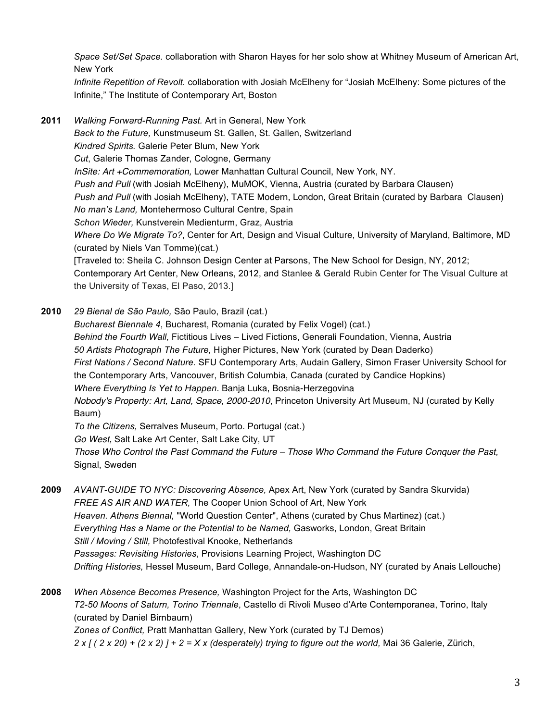*Space Set/Set Space.* collaboration with Sharon Hayes for her solo show at Whitney Museum of American Art, New York

*Infinite Repetition of Revolt.* collaboration with Josiah McElheny for "Josiah McElheny: Some pictures of the Infinite," The Institute of Contemporary Art, Boston

**2011** *Walking Forward-Running Past.* Art in General, New York *Back to the Future,* Kunstmuseum St. Gallen, St. Gallen, Switzerland *Kindred Spirits.* Galerie Peter Blum, New York *Cut*, Galerie Thomas Zander, Cologne, Germany *InSite: Art +Commemoration,* Lower Manhattan Cultural Council, New York, NY. *Push and Pull* (with Josiah McElheny), MuMOK, Vienna, Austria (curated by Barbara Clausen) *Push and Pull* (with Josiah McElheny), TATE Modern, London, Great Britain (curated by Barbara Clausen) *No man's Land,* Montehermoso Cultural Centre, Spain *Schon Wieder,* Kunstverein Medienturm, Graz, Austria *Where Do We Migrate To?*, Center for Art, Design and Visual Culture, University of Maryland, Baltimore, MD (curated by Niels Van Tomme)(cat.) [Traveled to: Sheila C. Johnson Design Center at Parsons, The New School for Design, NY, 2012; Contemporary Art Center, New Orleans, 2012, and Stanlee & Gerald Rubin Center for The Visual Culture at the University of Texas, El Paso, 2013.]

- **2010** *29 Bienal de São Paulo,* São Paulo, Brazil (cat.) *Bucharest Biennale 4*, Bucharest, Romania (curated by Felix Vogel) (cat.) *Behind the Fourth Wall,* Fictitious Lives – Lived Fictions, Generali Foundation, Vienna, Austria *50 Artists Photograph The Future,* Higher Pictures, New York (curated by Dean Daderko) *First Nations / Second Nature.* SFU Contemporary Arts, Audain Gallery, Simon Fraser University School for the Contemporary Arts, Vancouver, British Columbia, Canada (curated by Candice Hopkins) *Where Everything Is Yet to Happen*. Banja Luka, Bosnia-Herzegovina *Nobody's Property: Art, Land, Space, 2000-2010*, Princeton University Art Museum, NJ (curated by Kelly Baum) *To the Citizens,* Serralves Museum, Porto. Portugal (cat.) *Go West,* Salt Lake Art Center, Salt Lake City, UT *Those Who Control the Past Command the Future – Those Who Command the Future Conquer the Past,*  Signal, Sweden
- **2009** *AVANT-GUIDE TO NYC: Discovering Absence,* Apex Art, New York (curated by Sandra Skurvida) *FREE AS AIR AND WATER,* The Cooper Union School of Art, New York *Heaven. Athens Biennal,* "World Question Center", Athens (curated by Chus Martinez) (cat.) *Everything Has a Name or the Potential to be Named,* Gasworks, London, Great Britain *Still / Moving / Still,* Photofestival Knooke, Netherlands *Passages: Revisiting Histories*, Provisions Learning Project, Washington DC *Drifting Histories,* Hessel Museum, Bard College, Annandale-on-Hudson, NY (curated by Anais Lellouche)
- **2008** *When Absence Becomes Presence,* Washington Project for the Arts, Washington DC *T2-50 Moons of Saturn, Torino Triennale*, Castello di Rivoli Museo d'Arte Contemporanea, Torino, Italy (curated by Daniel Birnbaum)

*Zones of Conflict,* Pratt Manhattan Gallery, New York (curated by TJ Demos) *2 x [ ( 2 x 20) + (2 x 2) ] + 2 = X x (desperately) trying to figure out the world,* Mai 36 Galerie, Zürich,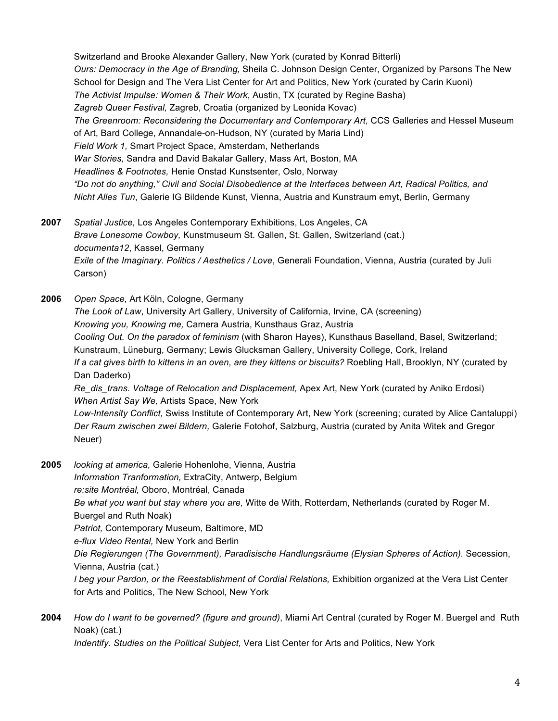Switzerland and Brooke Alexander Gallery, New York (curated by Konrad Bitterli) *Ours: Democracy in the Age of Branding,* Sheila C. Johnson Design Center, Organized by Parsons The New School for Design and The Vera List Center for Art and Politics, New York (curated by Carin Kuoni) *The Activist Impulse: Women & Their Work*, Austin, TX (curated by Regine Basha) *Zagreb Queer Festival,* Zagreb, Croatia (organized by Leonida Kovac) *The Greenroom: Reconsidering the Documentary and Contemporary Art,* CCS Galleries and Hessel Museum of Art, Bard College, Annandale-on-Hudson, NY (curated by Maria Lind) *Field Work 1,* Smart Project Space, Amsterdam, Netherlands *War Stories,* Sandra and David Bakalar Gallery, Mass Art, Boston, MA *Headlines & Footnotes,* Henie Onstad Kunstsenter, Oslo, Norway *"Do not do anything," Civil and Social Disobedience at the Interfaces between Art, Radical Politics, and Nicht Alles Tun*, Galerie IG Bildende Kunst, Vienna, Austria and Kunstraum emyt, Berlin, Germany

- **2007** *Spatial Justice,* Los Angeles Contemporary Exhibitions, Los Angeles, CA *Brave Lonesome Cowboy,* Kunstmuseum St. Gallen, St. Gallen, Switzerland (cat.) *documenta12*, Kassel, Germany *Exile of the Imaginary. Politics / Aesthetics / Love*, Generali Foundation, Vienna, Austria (curated by Juli Carson)
- **2006** *Open Space,* Art Köln, Cologne, Germany *The Look of Law*, University Art Gallery, University of California, Irvine, CA (screening) *Knowing you, Knowing me,* Camera Austria, Kunsthaus Graz, Austria *Cooling Out. On the paradox of feminism* (with Sharon Hayes), Kunsthaus Baselland, Basel, Switzerland; Kunstraum, Lüneburg, Germany; Lewis Glucksman Gallery, University College, Cork, Ireland *If a cat gives birth to kittens in an oven, are they kittens or biscuits?* Roebling Hall, Brooklyn, NY (curated by Dan Daderko) *Re\_dis\_trans. Voltage of Relocation and Displacement,* Apex Art, New York (curated by Aniko Erdosi) *When Artist Say We,* Artists Space, New York *Low-Intensity Conflict,* Swiss Institute of Contemporary Art, New York (screening; curated by Alice Cantaluppi) *Der Raum zwischen zwei Bildern,* Galerie Fotohof, Salzburg, Austria (curated by Anita Witek and Gregor
	- Neuer)
- **2005** *looking at america,* Galerie Hohenlohe, Vienna, Austria *Information Tranformation,* ExtraCity, Antwerp, Belgium *re:site Montréal,* Oboro, Montréal, Canada *Be what you want but stay where you are,* Witte de With, Rotterdam, Netherlands (curated by Roger M. Buergel and Ruth Noak) *Patriot,* Contemporary Museum*,* Baltimore, MD *e-flux Video Rental,* New York and Berlin *Die Regierungen (The Government), Paradisische Handlungsräume (Elysian Spheres of Action).* Secession, Vienna, Austria (cat.) *I beg your Pardon, or the Reestablishment of Cordial Relations,* Exhibition organized at the Vera List Center for Arts and Politics, The New School, New York
- **2004** *How do I want to be governed? (figure and ground)*, Miami Art Central (curated by Roger M. Buergel and Ruth Noak) (cat.)

*Indentify. Studies on the Political Subject,* Vera List Center for Arts and Politics, New York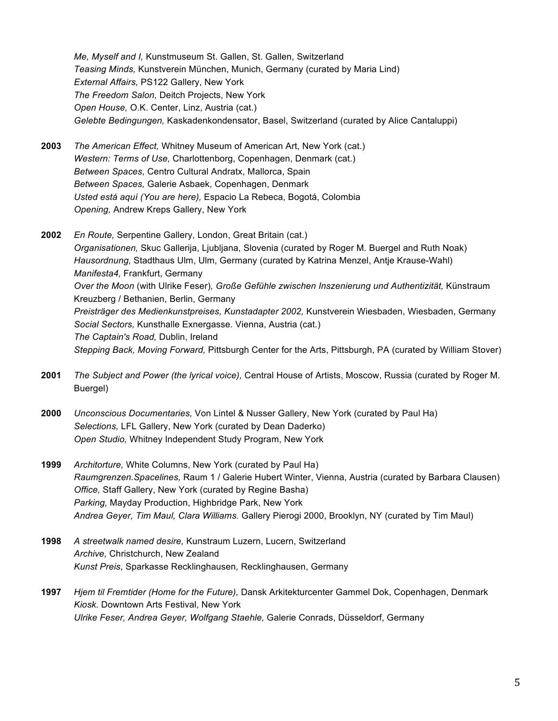*Me, Myself and I,* Kunstmuseum St. Gallen, St. Gallen, Switzerland *Teasing Minds,* Kunstverein München, Munich, Germany (curated by Maria Lind) *External Affairs,* PS122 Gallery, New York *The Freedom Salon,* Deitch Projects, New York *Open House,* O.K. Center, Linz, Austria (cat.) *Gelebte Bedingungen,* Kaskadenkondensator, Basel, Switzerland (curated by Alice Cantaluppi)

- **2003** *The American Effect,* Whitney Museum of American Art, New York (cat.) *Western: Terms of Use,* Charlottenborg, Copenhagen, Denmark (cat.) *Between Spaces,* Centro Cultural Andratx, Mallorca, Spain *Between Spaces,* Galerie Asbaek, Copenhagen, Denmark *Usted está aquí (You are here),* Espacio La Rebeca, Bogotá, Colombia *Opening,* Andrew Kreps Gallery, New York
- **2002** *En Route,* Serpentine Gallery, London, Great Britain (cat.) *Organisationen,* Skuc Gallerija, Ljubljana, Slovenia (curated by Roger M. Buergel and Ruth Noak) *Hausordnung,* Stadthaus Ulm, Ulm, Germany (curated by Katrina Menzel, Antje Krause-Wahl) *Manifesta4,* Frankfurt, Germany *Over the Moon* (with Ulrike Feser)*, Große Gefühle zwischen Inszenierung und Authentizität,* Künstraum Kreuzberg / Bethanien, Berlin, Germany *Preisträger des Medienkunstpreises, Kunstadapter 2002,* Kunstverein Wiesbaden, Wiesbaden, Germany *Social Sectors,* Kunsthalle Exnergasse. Vienna, Austria (cat.) *The Captain's Road,* Dublin, Ireland *Stepping Back, Moving Forward,* Pittsburgh Center for the Arts, Pittsburgh, PA (curated by William Stover)
- **2001** *The Subject and Power (the lyrical voice),* Central House of Artists, Moscow, Russia (curated by Roger M. Buergel)
- **2000** *Unconscious Documentaries,* Von Lintel & Nusser Gallery, New York (curated by Paul Ha) *Selections,* LFL Gallery, New York (curated by Dean Daderko) *Open Studio,* Whitney Independent Study Program, New York
- **1999** *Architorture,* White Columns, New York (curated by Paul Ha) *Raumgrenzen.Spacelines,* Raum 1 / Galerie Hubert Winter, Vienna, Austria (curated by Barbara Clausen) *Office,* Staff Gallery, New York (curated by Regine Basha) *Parking,* Mayday Production, Highbridge Park, New York *Andrea Geyer, Tim Maul, Clara Williams.* Gallery Pierogi 2000, Brooklyn, NY (curated by Tim Maul)
- **1998** *A streetwalk named desire,* Kunstraum Luzern, Lucern, Switzerland *Archive,* Christchurch, New Zealand *Kunst Preis*, Sparkasse Recklinghausen*,* Recklinghausen, Germany
- **1997** *Hjem til Fremtider (Home for the Future),* Dansk Arkitekturcenter Gammel Dok, Copenhagen, Denmark *Kiosk.* Downtown Arts Festival, New York *Ulrike Feser, Andrea Geyer, Wolfgang Staehle,* Galerie Conrads, Düsseldorf, Germany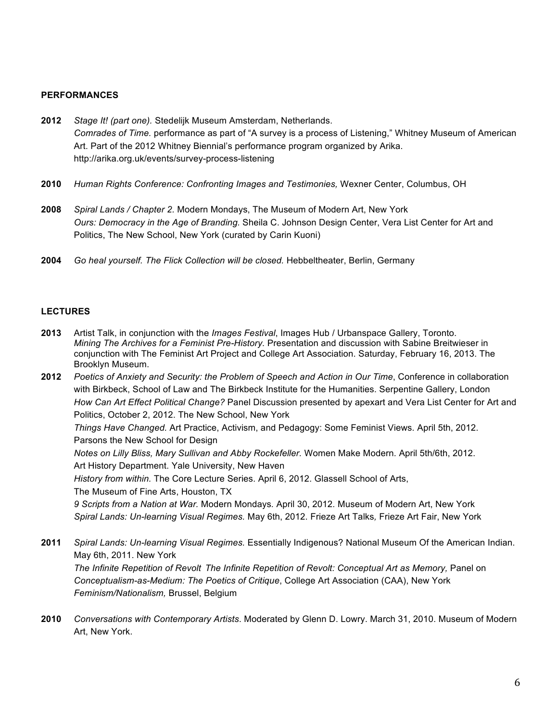#### **PERFORMANCES**

- **2012** *Stage It! (part one).* Stedelijk Museum Amsterdam, Netherlands. *Comrades of Time.* performance as part of "A survey is a process of Listening," Whitney Museum of American Art. Part of the 2012 Whitney Biennial's performance program organized by Arika. http://arika.org.uk/events/survey-process-listening
- **2010** *Human Rights Conference: Confronting Images and Testimonies,* Wexner Center, Columbus, OH
- **2008** *Spiral Lands / Chapter 2.* Modern Mondays, The Museum of Modern Art, New York *Ours: Democracy in the Age of Branding.* Sheila C. Johnson Design Center, Vera List Center for Art and Politics, The New School, New York (curated by Carin Kuoni)
- **2004** *Go heal yourself. The Flick Collection will be closed.* Hebbeltheater, Berlin, Germany

### **LECTURES**

**2013** Artist Talk, in conjunction with the *Images Festival*, Images Hub / Urbanspace Gallery, Toronto. *Mining The Archives for a Feminist Pre-History.* Presentation and discussion with Sabine Breitwieser in conjunction with The Feminist Art Project and College Art Association. Saturday, February 16, 2013. The Brooklyn Museum.

**2012** *Poetics of Anxiety and Security: the Problem of Speech and Action in Our Time*, Conference in collaboration with Birkbeck, School of Law and The Birkbeck Institute for the Humanities. Serpentine Gallery, London *How Can Art Effect Political Change?* Panel Discussion presented by apexart and Vera List Center for Art and Politics, October 2, 2012. The New School, New York *Things Have Changed.* Art Practice, Activism, and Pedagogy: Some Feminist Views*.* April 5th, 2012. Parsons the New School for Design *Notes on Lilly Bliss, Mary Sullivan and Abby Rockefeller.* Women Make Modern*.* April 5th/6th, 2012. Art History Department. Yale University, New Haven *History from within.* The Core Lecture Series. April 6, 2012. Glassell School of Arts, The Museum of Fine Arts, Houston, TX *9 Scripts from a Nation at War.* Modern Mondays*.* April 30, 2012*.* Museum of Modern Art, New York *Spiral Lands: Un-learning Visual Regimes.* May 6th, 2012. Frieze Art Talks*,* Frieze Art Fair, New York

- **2011** *Spiral Lands: Un-learning Visual Regimes.* Essentially Indigenous? National Museum Of the American Indian. May 6th, 2011. New York *The Infinite Repetition of Revolt The Infinite Repetition of Revolt: Conceptual Art as Memory,* Panel on *Conceptualism-as-Medium: The Poetics of Critique*, College Art Association (CAA), New York *Feminism/Nationalism,* Brussel, Belgium
- **2010** *Conversations with Contemporary Artists*. Moderated by Glenn D. Lowry. March 31, 2010. Museum of Modern Art, New York.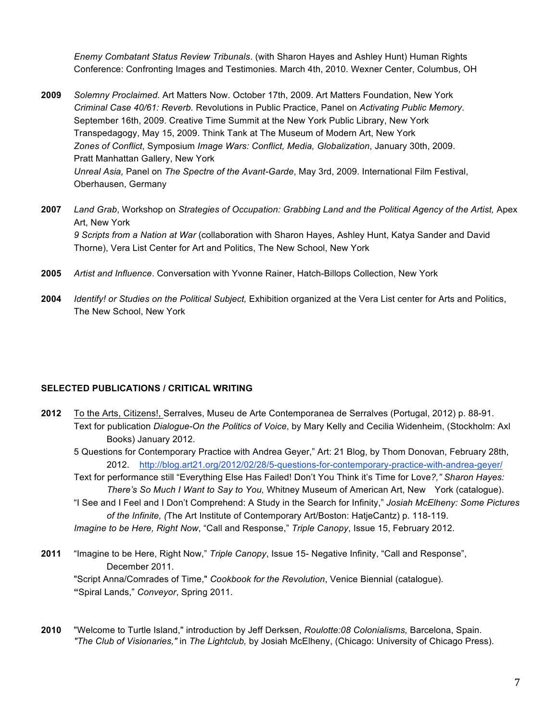*Enemy Combatant Status Review Tribunals*. (with Sharon Hayes and Ashley Hunt) Human Rights Conference: Confronting Images and Testimonies*.* March 4th, 2010. Wexner Center, Columbus, OH

- **2009** *Solemny Proclaimed.* Art Matters Now. October 17th, 2009. Art Matters Foundation, New York *Criminal Case 40/61: Reverb.* Revolutions in Public Practice, Panel on *Activating Public Memory*. September 16th, 2009. Creative Time Summit at the New York Public Library, New York Transpedagogy, May 15, 2009. Think Tank at The Museum of Modern Art, New York *Zones of Conflict*, Symposium *Image Wars: Conflict, Media, Globalization*, January 30th, 2009. Pratt Manhattan Gallery, New York *Unreal Asia,* Panel on *The Spectre of the Avant-Garde*, May 3rd, 2009. International Film Festival, Oberhausen, Germany
- **2007** *Land Grab*, Workshop on *Strategies of Occupation: Grabbing Land and the Political Agency of the Artist,* Apex Art, New York *9 Scripts from a Nation at War* (collaboration with Sharon Hayes, Ashley Hunt, Katya Sander and David Thorne), Vera List Center for Art and Politics, The New School, New York
- **2005** *Artist and Influence*. Conversation with Yvonne Rainer, Hatch-Billops Collection, New York
- **2004** *Identify! or Studies on the Political Subject,* Exhibition organized at the Vera List center for Arts and Politics, The New School, New York

### **SELECTED PUBLICATIONS / CRITICAL WRITING**

**2012** To the Arts, Citizens!, Serralves, Museu de Arte Contemporanea de Serralves (Portugal, 2012) p. 88-91. Text for publication *Dialogue-On the Politics of Voice*, by Mary Kelly and Cecilia Widenheim, (Stockholm: Axl Books) January 2012.

5 Questions for Contemporary Practice with Andrea Geyer," Art: 21 Blog, by Thom Donovan, February 28th, 2012. http://blog.art21.org/2012/02/28/5-questions-for-contemporary-practice-with-andrea-geyer/

Text for performance still "Everything Else Has Failed! Don't You Think it's Time for Love*?," Sharon Hayes: There's So Much I Want to Say to You,* Whitney Museum of American Art, New York (catalogue).

"I See and I Feel and I Don't Comprehend: A Study in the Search for Infinity," *Josiah McElheny: Some Pictures of the Infinite, (*The Art Institute of Contemporary Art/Boston: HatjeCantz) p. 118-119.

*Imagine to be Here, Right Now*, "Call and Response," *Triple Canopy*, Issue 15, February 2012.

- **2011** "Imagine to be Here, Right Now," *Triple Canopy*, Issue 15- Negative Infinity, "Call and Response", December 2011. "Script Anna/Comrades of Time," *Cookbook for the Revolution*, Venice Biennial (catalogue). **"**Spiral Lands," *Conveyor*, Spring 2011.
- **2010** "Welcome to Turtle Island," introduction by Jeff Derksen, *Roulotte:08 Colonialisms,* Barcelona, Spain. *"The Club of Visionaries,"* in *The Lightclub,* by Josiah McElheny, (Chicago: University of Chicago Press).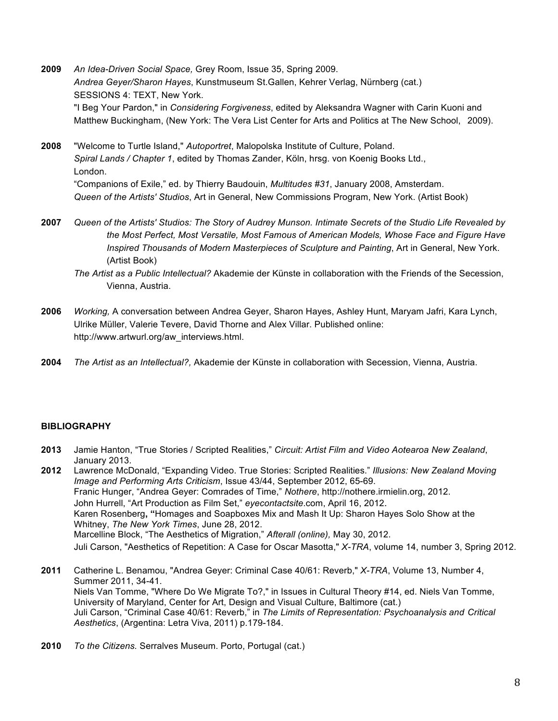- **2009** *An Idea-Driven Social Space,* Grey Room, Issue 35, Spring 2009. *Andrea Geyer/Sharon Hayes*, Kunstmuseum St.Gallen, Kehrer Verlag, Nürnberg (cat.) SESSIONS 4: TEXT, New York. "I Beg Your Pardon," in *Considering Forgiveness*, edited by Aleksandra Wagner with Carin Kuoni and Matthew Buckingham, (New York: The Vera List Center for Arts and Politics at The New School, 2009).
- **2008** "Welcome to Turtle Island," *Autoportret*, Malopolska Institute of Culture, Poland. *Spiral Lands / Chapter 1*, edited by Thomas Zander, Köln, hrsg. von Koenig Books Ltd., London. "Companions of Exile," ed. by Thierry Baudouin, *Multitudes #31*, January 2008, Amsterdam. *Queen of the Artists' Studios*, Art in General, New Commissions Program, New York. (Artist Book)
- **2007** *Queen of the Artists' Studios: The Story of Audrey Munson. Intimate Secrets of the Studio Life Revealed by the Most Perfect, Most Versatile, Most Famous of American Models, Whose Face and Figure Have Inspired Thousands of Modern Masterpieces of Sculpture and Painting*, Art in General, New York. (Artist Book)
	- *The Artist as a Public Intellectual?* Akademie der Künste in collaboration with the Friends of the Secession, Vienna, Austria.
- **2006** *Working,* A conversation between Andrea Geyer, Sharon Hayes, Ashley Hunt, Maryam Jafri, Kara Lynch, Ulrike Müller, Valerie Tevere, David Thorne and Alex Villar. Published online: http://www.artwurl.org/aw\_interviews.html.
- **2004** *The Artist as an Intellectual?,* Akademie der Künste in collaboration with Secession, Vienna, Austria.

#### **BIBLIOGRAPHY**

- **2013** Jamie Hanton, "True Stories / Scripted Realities," *Circuit: Artist Film and Video Aotearoa New Zealand*, January 2013.
- **2012** Lawrence McDonald, "Expanding Video. True Stories: Scripted Realities." *Illusions: New Zealand Moving Image and Performing Arts Criticism*, Issue 43/44, September 2012, 65-69. Franic Hunger, "Andrea Geyer: Comrades of Time," *Nothere*, http://nothere.irmielin.org, 2012. John Hurrell, "Art Production as Film Set," *eyecontactsite*.com, April 16, 2012. Karen Rosenberg**, "**Homages and Soapboxes Mix and Mash It Up: Sharon Hayes Solo Show at the Whitney, *The New York Times*, June 28, 2012. Marcelline Block, "The Aesthetics of Migration," *Afterall (online),* May 30, 2012. Juli Carson, "Aesthetics of Repetition: A Case for Oscar Masotta," *X-TRA*, volume 14, number 3, Spring 2012.
- **2011** Catherine L. Benamou, "Andrea Geyer: Criminal Case 40/61: Reverb," *X-TRA*, Volume 13, Number 4, Summer 2011, 34-41. Niels Van Tomme, "Where Do We Migrate To?," in Issues in Cultural Theory #14, ed. Niels Van Tomme, University of Maryland, Center for Art, Design and Visual Culture, Baltimore (cat.) Juli Carson, "Criminal Case 40/61: Reverb," in *The Limits of Representation: Psychoanalysis and Critical Aesthetics*, (Argentina: Letra Viva, 2011) p.179-184.
- **2010** *To the Citizens.* Serralves Museum. Porto, Portugal (cat.)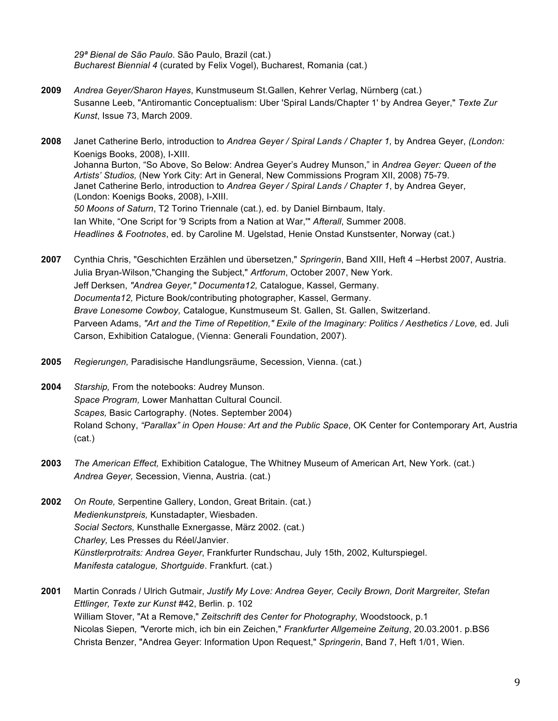*29ª Bienal de São Paulo*. São Paulo, Brazil (cat.) *Bucharest Biennial 4* (curated by Felix Vogel), Bucharest, Romania (cat.)

- **2009** *Andrea Geyer/Sharon Hayes*, Kunstmuseum St.Gallen, Kehrer Verlag, Nürnberg (cat.) Susanne Leeb, "Antiromantic Conceptualism: Uber 'Spiral Lands/Chapter 1' by Andrea Geyer," *Texte Zur Kunst*, Issue 73, March 2009.
- **2008** Janet Catherine Berlo, introduction to *Andrea Geyer / Spiral Lands / Chapter 1,* by Andrea Geyer, *(London:* Koenigs Books, 2008), I-XIII. Johanna Burton, "So Above, So Below: Andrea Geyer's Audrey Munson," in *Andrea Geyer: Queen of the Artists' Studios,* (New York City: Art in General, New Commissions Program XII, 2008) 75-79. Janet Catherine Berlo, introduction to *Andrea Geyer / Spiral Lands / Chapter 1*, by Andrea Geyer, (London: Koenigs Books, 2008), I-XIII. *50 Moons of Saturn*, T2 Torino Triennale (cat.), ed. by Daniel Birnbaum, Italy. Ian White, "One Script for '9 Scripts from a Nation at War,'" *Afterall*, Summer 2008. *Headlines & Footnotes*, ed. by Caroline M. Ugelstad, Henie Onstad Kunstsenter, Norway (cat.)
- **2007** Cynthia Chris, "Geschichten Erzählen und übersetzen," *Springerin*, Band XIII, Heft 4 –Herbst 2007, Austria. Julia Bryan-Wilson,"Changing the Subject," *Artforum*, October 2007, New York. Jeff Derksen, *"Andrea Geyer," Documenta12,* Catalogue, Kassel, Germany. *Documenta12,* Picture Book/contributing photographer, Kassel, Germany. *Brave Lonesome Cowboy,* Catalogue, Kunstmuseum St. Gallen, St. Gallen, Switzerland. Parveen Adams, *"Art and the Time of Repetition," Exile of the Imaginary: Politics / Aesthetics / Love,* ed. Juli Carson, Exhibition Catalogue, (Vienna: Generali Foundation, 2007).
- **2005** *Regierungen,* Paradisische Handlungsräume, Secession, Vienna. (cat.)
- **2004** *Starship,* From the notebooks: Audrey Munson. *Space Program,* Lower Manhattan Cultural Council. *Scapes,* Basic Cartography. (Notes. September 2004) Roland Schony, *"Parallax" in Open House: Art and the Public Space*, OK Center for Contemporary Art, Austria (cat.)
- **2003** *The American Effect,* Exhibition Catalogue, The Whitney Museum of American Art, New York. (cat.) *Andrea Geyer,* Secession, Vienna, Austria. (cat.)
- **2002** *On Route,* Serpentine Gallery, London, Great Britain. (cat.) *Medienkunstpreis,* Kunstadapter, Wiesbaden. *Social Sectors,* Kunsthalle Exnergasse, März 2002. (cat.) *Charley,* Les Presses du Réel/Janvier. *Künstlerprotraits: Andrea Geyer*, Frankfurter Rundschau, July 15th, 2002, Kulturspiegel. *Manifesta catalogue, Shortguide*. Frankfurt. (cat.)
- **2001** Martin Conrads / Ulrich Gutmair, *Justify My Love: Andrea Geyer, Cecily Brown, Dorit Margreiter, Stefan Ettlinger, Texte zur Kunst* #42, Berlin. p. 102 William Stover, "At a Remove," *Zeitschrift des Center for Photography,* Woodstoock, p.1 Nicolas Siepen*, "*Verorte mich, ich bin ein Zeichen," *Frankfurter Allgemeine Zeitung*, 20.03.2001. p.BS6 Christa Benzer, "Andrea Geyer: Information Upon Request," *Springerin*, Band 7, Heft 1/01, Wien.